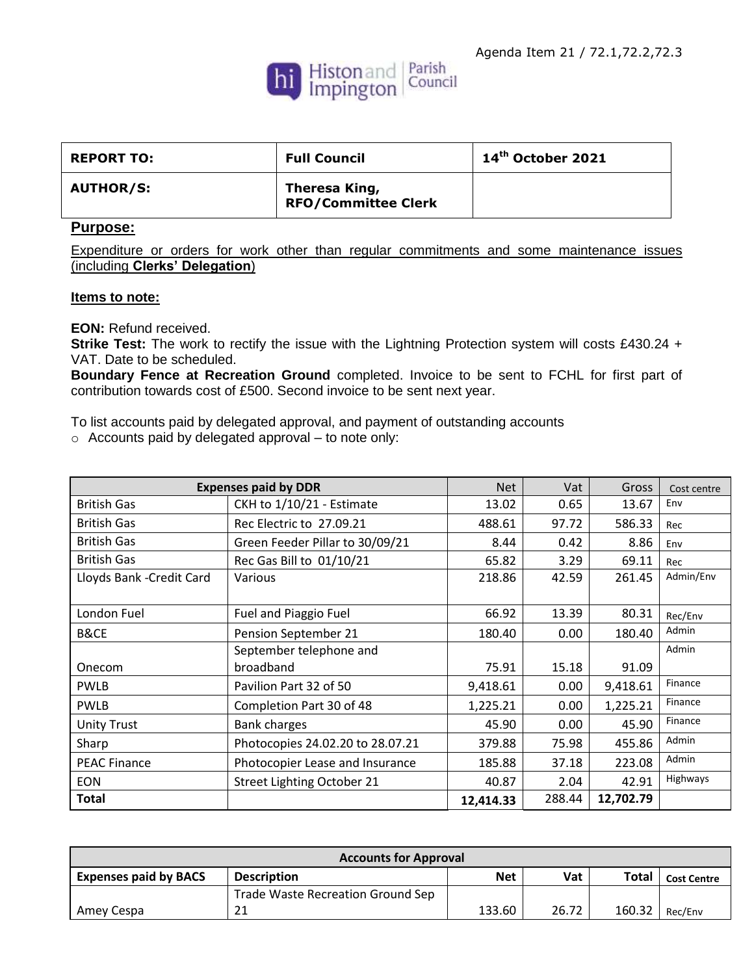

| <b>REPORT TO:</b> | <b>Full Council</b>                         | $14th$ October 2021 |
|-------------------|---------------------------------------------|---------------------|
| <b>AUTHOR/S:</b>  | Theresa King,<br><b>RFO/Committee Clerk</b> |                     |

## **Purpose:**

Expenditure or orders for work other than regular commitments and some maintenance issues (including **Clerks' Delegation**)

## **Items to note:**

**EON:** Refund received.

**Strike Test:** The work to rectify the issue with the Lightning Protection system will costs £430.24 + VAT. Date to be scheduled.

**Boundary Fence at Recreation Ground** completed. Invoice to be sent to FCHL for first part of contribution towards cost of £500. Second invoice to be sent next year.

To list accounts paid by delegated approval, and payment of outstanding accounts

o Accounts paid by delegated approval – to note only:

|                           | <b>Expenses paid by DDR</b>      | <b>Net</b> | Vat    | Gross     | Cost centre |
|---------------------------|----------------------------------|------------|--------|-----------|-------------|
| <b>British Gas</b>        | CKH to 1/10/21 - Estimate        | 13.02      | 0.65   | 13.67     | Env         |
| <b>British Gas</b>        | Rec Electric to 27.09.21         | 488.61     | 97.72  | 586.33    | Rec         |
| <b>British Gas</b>        | Green Feeder Pillar to 30/09/21  | 8.44       | 0.42   | 8.86      | Env         |
| <b>British Gas</b>        | Rec Gas Bill to 01/10/21         | 65.82      | 3.29   | 69.11     | Rec         |
| Lloyds Bank - Credit Card | Various                          | 218.86     | 42.59  | 261.45    | Admin/Env   |
|                           |                                  |            |        |           |             |
| London Fuel               | Fuel and Piaggio Fuel            | 66.92      | 13.39  | 80.31     | Rec/Env     |
| <b>B&amp;CE</b>           | Pension September 21             | 180.40     | 0.00   | 180.40    | Admin       |
|                           | September telephone and          |            |        |           | Admin       |
| Onecom                    | broadband                        | 75.91      | 15.18  | 91.09     |             |
| <b>PWLB</b>               | Pavilion Part 32 of 50           | 9,418.61   | 0.00   | 9,418.61  | Finance     |
| <b>PWLB</b>               | Completion Part 30 of 48         | 1,225.21   | 0.00   | 1,225.21  | Finance     |
| <b>Unity Trust</b>        | <b>Bank charges</b>              | 45.90      | 0.00   | 45.90     | Finance     |
| Sharp                     | Photocopies 24.02.20 to 28.07.21 | 379.88     | 75.98  | 455.86    | Admin       |
| <b>PEAC Finance</b>       | Photocopier Lease and Insurance  | 185.88     | 37.18  | 223.08    | Admin       |
| <b>EON</b>                | Street Lighting October 21       | 40.87      | 2.04   | 42.91     | Highways    |
| <b>Total</b>              |                                  | 12,414.33  | 288.44 | 12,702.79 |             |

| <b>Accounts for Approval</b> |                                   |            |       |              |                    |
|------------------------------|-----------------------------------|------------|-------|--------------|--------------------|
| <b>Expenses paid by BACS</b> | <b>Description</b>                | <b>Net</b> | Vat   | <b>Total</b> | <b>Cost Centre</b> |
|                              | Trade Waste Recreation Ground Sep |            |       |              |                    |
| Amey Cespa                   | 21                                | 133.60     | 26.72 | 160.32       | Rec/Env            |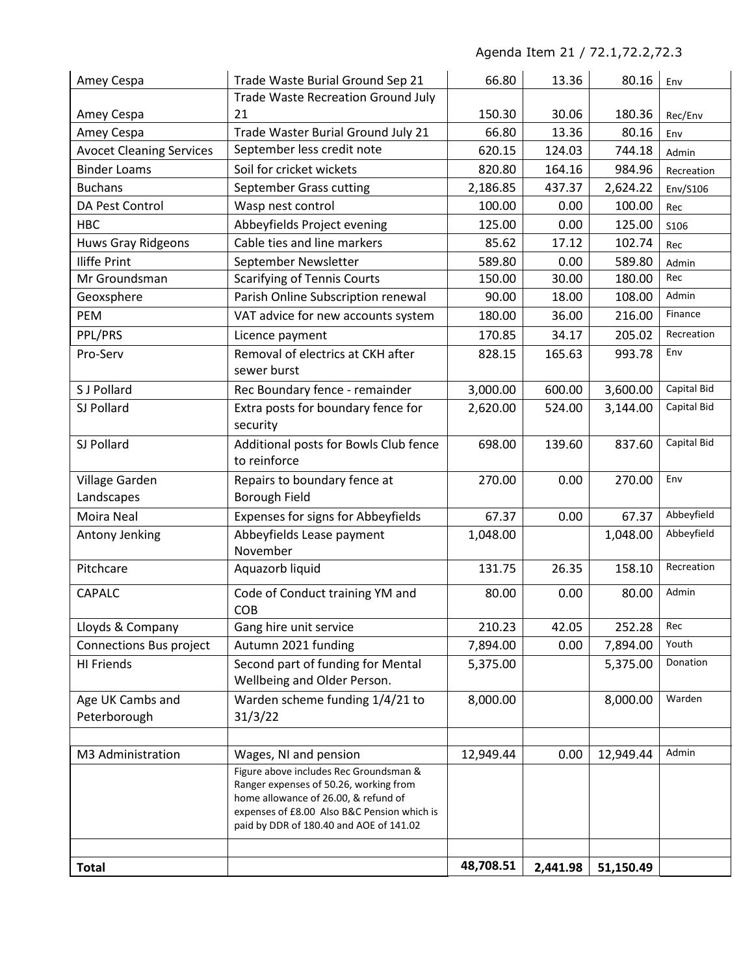Agenda Item 21 / 72.1,72.2,72.3

| Amey Cespa                      | Trade Waste Burial Ground Sep 21                                                 | 66.80     | 13.36    | 80.16     | Env         |
|---------------------------------|----------------------------------------------------------------------------------|-----------|----------|-----------|-------------|
|                                 | <b>Trade Waste Recreation Ground July</b>                                        |           |          |           |             |
| Amey Cespa                      | 21                                                                               | 150.30    | 30.06    | 180.36    | Rec/Env     |
| Amey Cespa                      | Trade Waster Burial Ground July 21                                               | 66.80     | 13.36    | 80.16     | Env         |
| <b>Avocet Cleaning Services</b> | September less credit note                                                       | 620.15    | 124.03   | 744.18    | Admin       |
| <b>Binder Loams</b>             | Soil for cricket wickets                                                         | 820.80    | 164.16   | 984.96    | Recreation  |
| <b>Buchans</b>                  | September Grass cutting                                                          | 2,186.85  | 437.37   | 2,624.22  | Env/S106    |
| DA Pest Control                 | Wasp nest control                                                                | 100.00    | 0.00     | 100.00    | Rec         |
| <b>HBC</b>                      | Abbeyfields Project evening                                                      | 125.00    | 0.00     | 125.00    | S106        |
| <b>Huws Gray Ridgeons</b>       | Cable ties and line markers                                                      | 85.62     | 17.12    | 102.74    | Rec         |
| <b>Iliffe Print</b>             | September Newsletter                                                             | 589.80    | 0.00     | 589.80    | Admin       |
| Mr Groundsman                   | <b>Scarifying of Tennis Courts</b>                                               | 150.00    | 30.00    | 180.00    | Rec         |
| Geoxsphere                      | Parish Online Subscription renewal                                               | 90.00     | 18.00    | 108.00    | Admin       |
| PEM                             | VAT advice for new accounts system                                               | 180.00    | 36.00    | 216.00    | Finance     |
| PPL/PRS                         | Licence payment                                                                  | 170.85    | 34.17    | 205.02    | Recreation  |
| Pro-Serv                        | Removal of electrics at CKH after                                                | 828.15    | 165.63   | 993.78    | Env         |
|                                 | sewer burst                                                                      |           |          |           |             |
| S J Pollard                     | Rec Boundary fence - remainder                                                   | 3,000.00  | 600.00   | 3,600.00  | Capital Bid |
| SJ Pollard                      | Extra posts for boundary fence for                                               | 2,620.00  | 524.00   | 3,144.00  | Capital Bid |
|                                 | security                                                                         |           |          |           |             |
| SJ Pollard                      | Additional posts for Bowls Club fence                                            | 698.00    | 139.60   | 837.60    | Capital Bid |
|                                 | to reinforce                                                                     |           |          |           |             |
| Village Garden                  | Repairs to boundary fence at                                                     | 270.00    | 0.00     | 270.00    | Env         |
| Landscapes                      | <b>Borough Field</b>                                                             |           |          |           |             |
| Moira Neal                      | Expenses for signs for Abbeyfields                                               | 67.37     | 0.00     | 67.37     | Abbeyfield  |
| Antony Jenking                  | Abbeyfields Lease payment                                                        | 1,048.00  |          | 1,048.00  | Abbeyfield  |
|                                 | November                                                                         |           |          |           |             |
| Pitchcare                       | Aquazorb liquid                                                                  | 131.75    | 26.35    | 158.10    | Recreation  |
| CAPALC                          | Code of Conduct training YM and                                                  | 80.00     | 0.00     | 80.00     | Admin       |
|                                 | COB                                                                              |           |          |           |             |
| Lloyds & Company                | Gang hire unit service                                                           | 210.23    | 42.05    | 252.28    | Rec         |
| <b>Connections Bus project</b>  | Autumn 2021 funding                                                              | 7,894.00  | 0.00     | 7,894.00  | Youth       |
| <b>HI Friends</b>               | Second part of funding for Mental                                                | 5,375.00  |          | 5,375.00  | Donation    |
|                                 | Wellbeing and Older Person.                                                      |           |          |           |             |
| Age UK Cambs and                | Warden scheme funding 1/4/21 to                                                  | 8,000.00  |          | 8,000.00  | Warden      |
| Peterborough                    | 31/3/22                                                                          |           |          |           |             |
|                                 |                                                                                  |           |          |           |             |
| M3 Administration               | Wages, NI and pension                                                            | 12,949.44 | 0.00     | 12,949.44 | Admin       |
|                                 | Figure above includes Rec Groundsman &<br>Ranger expenses of 50.26, working from |           |          |           |             |
|                                 | home allowance of 26.00, & refund of                                             |           |          |           |             |
|                                 | expenses of £8.00 Also B&C Pension which is                                      |           |          |           |             |
|                                 | paid by DDR of 180.40 and AOE of 141.02                                          |           |          |           |             |
|                                 |                                                                                  |           |          |           |             |
| <b>Total</b>                    |                                                                                  | 48,708.51 | 2,441.98 | 51,150.49 |             |